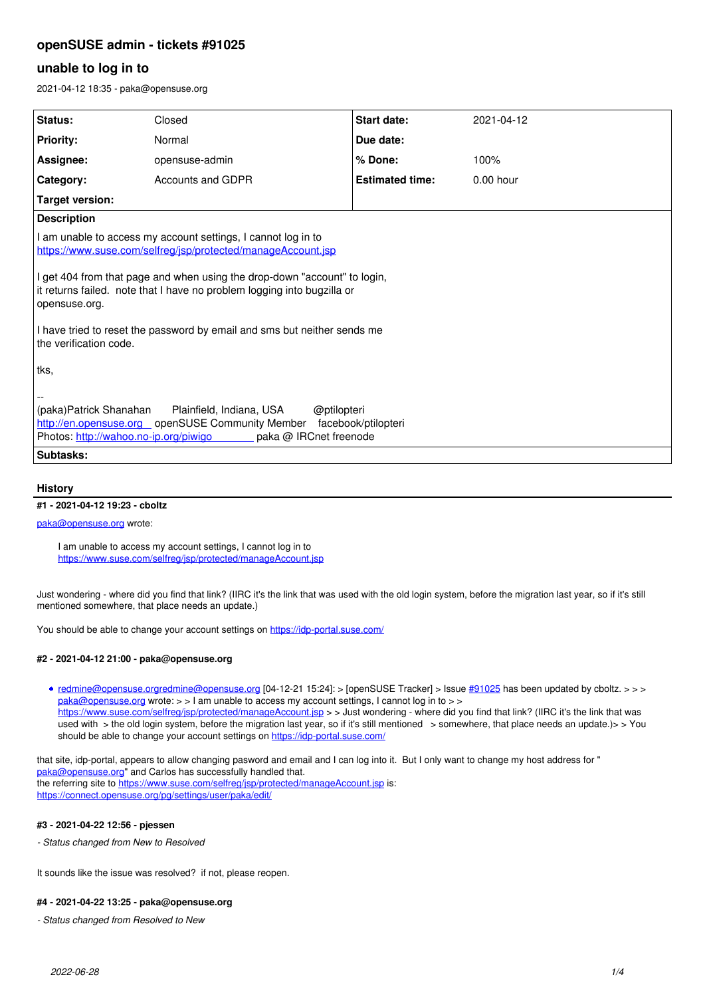# **openSUSE admin - tickets #91025**

# **unable to log in to**

2021-04-12 18:35 - paka@opensuse.org

| <b>Status:</b>                                                                                                                                                                                                 | Closed            | Start date:            | 2021-04-12  |
|----------------------------------------------------------------------------------------------------------------------------------------------------------------------------------------------------------------|-------------------|------------------------|-------------|
|                                                                                                                                                                                                                |                   |                        |             |
| <b>Priority:</b>                                                                                                                                                                                               | Normal            | Due date:              |             |
| Assignee:                                                                                                                                                                                                      | opensuse-admin    | % Done:                | 100%        |
| Category:                                                                                                                                                                                                      | Accounts and GDPR | <b>Estimated time:</b> | $0.00$ hour |
| <b>Target version:</b>                                                                                                                                                                                         |                   |                        |             |
| <b>Description</b>                                                                                                                                                                                             |                   |                        |             |
| I am unable to access my account settings, I cannot log in to<br>https://www.suse.com/selfreq/jsp/protected/manageAccount.jsp                                                                                  |                   |                        |             |
| I get 404 from that page and when using the drop-down "account" to login,<br>it returns failed. note that I have no problem logging into bugzilla or<br>opensuse.org.                                          |                   |                        |             |
| I have tried to reset the password by email and sms but neither sends me<br>the verification code.                                                                                                             |                   |                        |             |
| ∣tks,                                                                                                                                                                                                          |                   |                        |             |
| (paka)Patrick Shanahan<br>Plainfield, Indiana, USA<br>@ptilopteri<br>http://en.opensuse.org _ openSUSE Community Member facebook/ptilopteri<br>Photos: http://wahoo.no-ip.org/piwigo<br>paka @ IRCnet freenode |                   |                        |             |
| <b>Subtasks:</b>                                                                                                                                                                                               |                   |                        |             |

### **History**

### **#1 - 2021-04-12 19:23 - cboltz**

### [paka@opensuse.org](mailto:paka@opensuse.org) wrote:

I am unable to access my account settings, I cannot log in to <https://www.suse.com/selfreg/jsp/protected/manageAccount.jsp>

Just wondering - where did you find that link? (IIRC it's the link that was used with the old login system, before the migration last year, so if it's still mentioned somewhere, that place needs an update.)

You should be able to change your account settings on<https://idp-portal.suse.com/>

#### **#2 - 2021-04-12 21:00 - paka@opensuse.org**

[redmine@opensuse.orgredmine@opensuse.org](mailto:redmine@opensuse.org) [04-12-21 15:24]: > [openSUSE Tracker] > Issue [#91025](https://progress.opensuse.org/issues/91025) has been updated by cboltz. > > > [paka@opensuse.org](mailto:paka@opensuse.org) wrote: > > I am unable to access my account settings, I cannot log in to > > <https://www.suse.com/selfreg/jsp/protected/manageAccount.jsp>> > Just wondering - where did you find that link? (IIRC it's the link that was used with > the old login system, before the migration last year, so if it's still mentioned > somewhere, that place needs an update.)> > You should be able to change your account settings on <https://idp-portal.suse.com/>

that site, idp-portal, appears to allow changing pasword and email and I can log into it. But I only want to change my host address for " [paka@opensuse.org](mailto:paka@opensuse.org)" and Carlos has successfully handled that. the referring site to<https://www.suse.com/selfreg/jsp/protected/manageAccount.jsp>is: <https://connect.opensuse.org/pg/settings/user/paka/edit/>

### **#3 - 2021-04-22 12:56 - pjessen**

*- Status changed from New to Resolved*

It sounds like the issue was resolved? if not, please reopen.

# **#4 - 2021-04-22 13:25 - paka@opensuse.org**

*- Status changed from Resolved to New*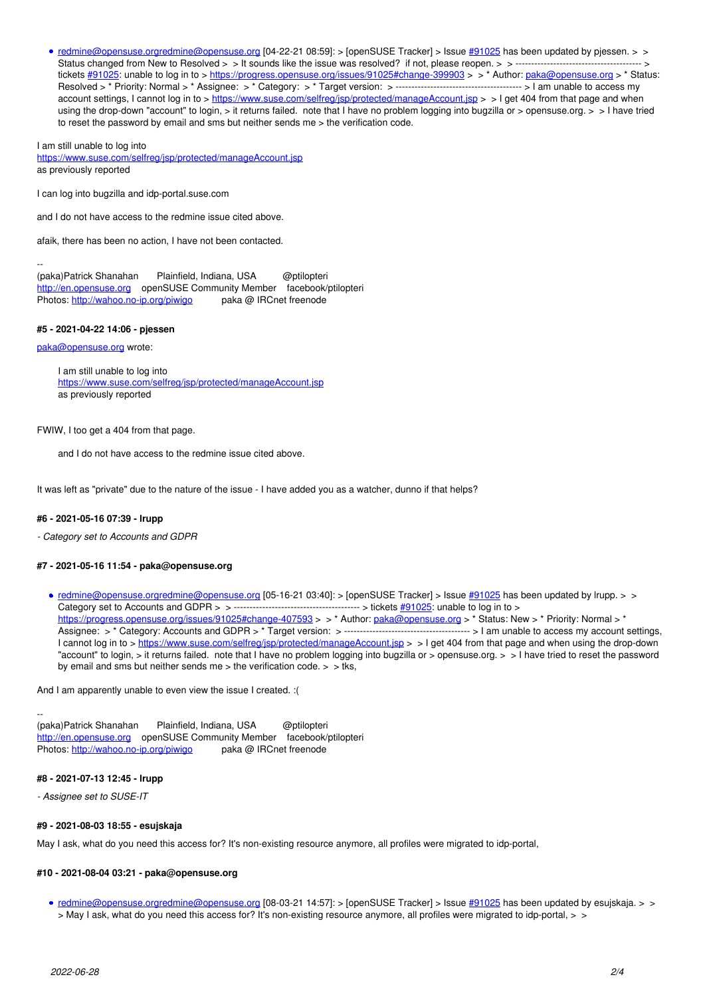• [redmine@opensuse.orgredmine@opensuse.org](mailto:redmine@opensuse.org) [04-22-21 08:59]: > [openSUSE Tracker] > Issue [#91025](https://progress.opensuse.org/issues/91025) has been updated by pjessen. > > Status changed from New to Resolved > > It sounds like the issue was resolved? if not, please reopen. > > ---------------------------------------- > tickets [#91025:](https://progress.opensuse.org/issues/91025) unable to log in to ><https://progress.opensuse.org/issues/91025#change-399903>> > \* Author: [paka@opensuse.org](mailto:paka@opensuse.org) > \* Status: Resolved > \* Priority: Normal > \* Assignee: > \* Category: > \* Target version: > ---------------------------------------- > I am unable to access my account settings, I cannot log in to > <u>https://www.suse.com/selfreg/jsp/protected/manageAccount.jsp</u> > > I get 404 from that page and when using the drop-down "account" to login, > it returns failed. note that I have no problem logging into bugzilla or > opensuse.org. > > I have tried to reset the password by email and sms but neither sends me > the verification code.

I am still unable to log into

<https://www.suse.com/selfreg/jsp/protected/manageAccount.jsp> as previously reported

I can log into bugzilla and idp-portal.suse.com

and I do not have access to the redmine issue cited above.

afaik, there has been no action, I have not been contacted.

-- (paka)Patrick Shanahan Plainfield, Indiana, USA @ptilopteri <http://en.opensuse.org>openSUSE Community Member facebook/ptilopteri Photos: <http://wahoo.no-ip.org/piwigo>paka @ IRCnet freenode

#### **#5 - 2021-04-22 14:06 - pjessen**

[paka@opensuse.org](mailto:paka@opensuse.org) wrote:

I am still unable to log into <https://www.suse.com/selfreg/jsp/protected/manageAccount.jsp> as previously reported

FWIW, I too get a 404 from that page.

and I do not have access to the redmine issue cited above.

It was left as "private" due to the nature of the issue - I have added you as a watcher, dunno if that helps?

#### **#6 - 2021-05-16 07:39 - lrupp**

*- Category set to Accounts and GDPR*

#### **#7 - 2021-05-16 11:54 - paka@opensuse.org**

[redmine@opensuse.orgredmine@opensuse.org](mailto:redmine@opensuse.org) [05-16-21 03:40]: > [openSUSE Tracker] > Issue [#91025](https://progress.opensuse.org/issues/91025) has been updated by lrupp. > > Category set to Accounts and GDPR > > ---------------------------------------- > tickets [#91025:](https://progress.opensuse.org/issues/91025) unable to log in to > <https://progress.opensuse.org/issues/91025#change-407593> > > \* Author: [paka@opensuse.org](mailto:paka@opensuse.org) > \* Status: New > \* Priority: Normal > \* Assignee: > \* Category: Accounts and GDPR > \* Target version: > ---------------------------------------- > I am unable to access my account settings, I cannot log in to > <https://www.suse.com/selfreg/jsp/protected/manageAccount.jsp> > > I get 404 from that page and when using the drop-down "account" to login, > it returns failed. note that I have no problem logging into bugzilla or > opensuse.org. > > I have tried to reset the password by email and sms but neither sends me  $>$  the verification code.  $>$   $>$  tks,

And I am apparently unable to even view the issue I created. :(

-- (paka)Patrick Shanahan Plainfield, Indiana, USA @ptilopteri <http://en.opensuse.org>openSUSE Community Member facebook/ptilopteri Photos: <http://wahoo.no-ip.org/piwigo>paka @ IRCnet freenode

#### **#8 - 2021-07-13 12:45 - lrupp**

*- Assignee set to SUSE-IT*

#### **#9 - 2021-08-03 18:55 - esujskaja**

May I ask, what do you need this access for? It's non-existing resource anymore, all profiles were migrated to idp-portal,

### **#10 - 2021-08-04 03:21 - paka@opensuse.org**

• [redmine@opensuse.orgredmine@opensuse.org](mailto:redmine@opensuse.org) [08-03-21 14:57]: > [openSUSE Tracker] > Issue [#91025](https://progress.opensuse.org/issues/91025) has been updated by esujskaja. > > > May I ask, what do you need this access for? It's non-existing resource anymore, all profiles were migrated to idp-portal, > >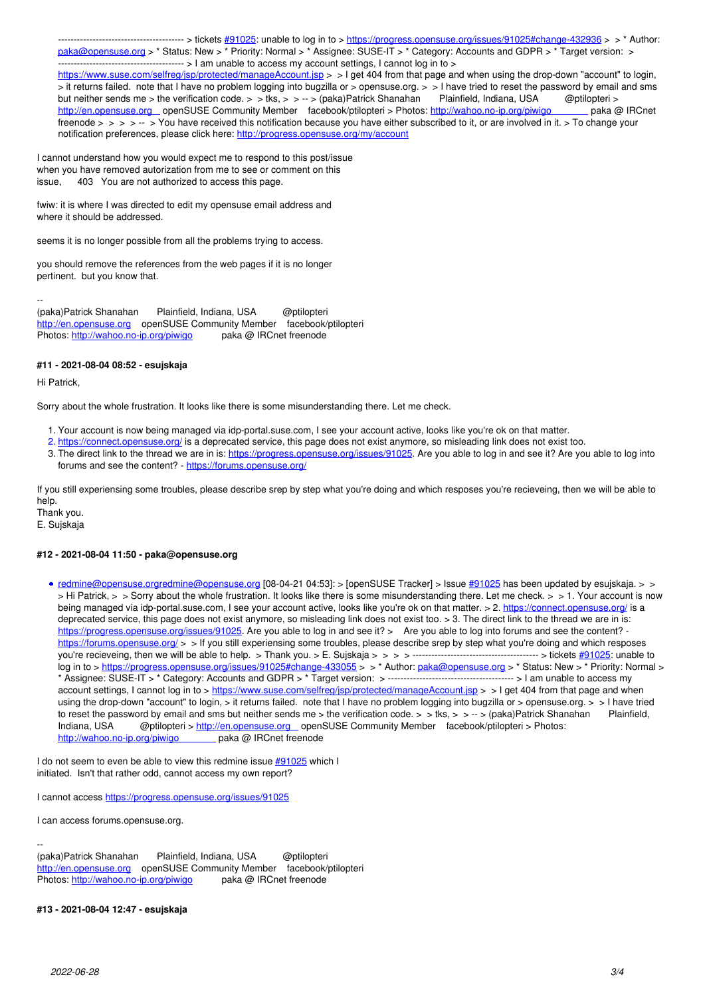---------------------------------------- > tickets [#91025](https://progress.opensuse.org/issues/91025): unable to log in to > <https://progress.opensuse.org/issues/91025#change-432936> > > \* Author: [paka@opensuse.org](mailto:paka@opensuse.org) > \* Status: New > \* Priority: Normal > \* Assignee: SUSE-IT > \* Category: Accounts and GDPR > \* Target version: > ---------------------------------------- > I am unable to access my account settings, I cannot log in to > https://www.suse.com/selfreq/jsp/protected/manageAccount.jsp > > I get 404 from that page and when using the drop-down "account" to login, > it returns failed. note that I have no problem logging into bugzilla or > opensuse.org. > > I have tried to reset the password by email and sms but neither sends me > the verification code. > > tks, > > -- > (paka)Patrick Shanahan Plainfield, Indiana, USA @ptilopteri > http://wahoo.no-ip.org/piwigo paka @ IRCnet [http://en.opensuse.org](http://en.opensuse.org%C2%A0%C2%A0%C2%A0)  penSUSE Community Member facebook/ptilopteri > Photos: http://wahoo.no-ip.org/piwigo freenode > > > -- > You have received this notification because you have either subscribed to it, or are involved in it. > To change your notification preferences, please click here:<http://progress.opensuse.org/my/account>

I cannot understand how you would expect me to respond to this post/issue when you have removed autorization from me to see or comment on this issue, 403 You are not authorized to access this page.

fwiw: it is where I was directed to edit my opensuse email address and where it should be addressed.

seems it is no longer possible from all the problems trying to access.

you should remove the references from the web pages if it is no longer pertinent. but you know that.

-- (paka)Patrick Shanahan Plainfield, Indiana, USA @ptilopteri <http://en.opensuse.org>openSUSE Community Member facebook/ptilopteri Photos: <http://wahoo.no-ip.org/piwigo>paka @ IRCnet freenode

### **#11 - 2021-08-04 08:52 - esujskaja**

Hi Patrick,

Sorry about the whole frustration. It looks like there is some misunderstanding there. Let me check.

- 1. Your account is now being managed via idp-portal.suse.com, I see your account active, looks like you're ok on that matter.
- 2. <https://connect.opensuse.org/>is a deprecated service, this page does not exist anymore, so misleading link does not exist too.
- 3. The direct link to the thread we are in is:<https://progress.opensuse.org/issues/91025>. Are you able to log in and see it? Are you able to log into forums and see the content? -<https://forums.opensuse.org/>

If you still experiensing some troubles, please describe srep by step what you're doing and which resposes you're recieveing, then we will be able to help.

Thank you. E. Sujskaja

#### **#12 - 2021-08-04 11:50 - paka@opensuse.org**

• [redmine@opensuse.orgredmine@opensuse.org](mailto:redmine@opensuse.org) [08-04-21 04:53]: > [openSUSE Tracker] > Issue [#91025](https://progress.opensuse.org/issues/91025) has been updated by esujskaja. > > > Hi Patrick, > > Sorry about the whole frustration. It looks like there is some misunderstanding there. Let me check. > > 1. Your account is now being managed via idp-portal.suse.com, I see your account active, looks like you're ok on that matter. > 2.<https://connect.opensuse.org/> is a deprecated service, this page does not exist anymore, so misleading link does not exist too. > 3. The direct link to the thread we are in is: <https://progress.opensuse.org/issues/91025>. Are you able to log in and see it? > Are you able to log into forums and see the content? <https://forums.opensuse.org/> > > If you still experiensing some troubles, please describe srep by step what you're doing and which resposes you're recieveing, then we will be able to help. > Thank you. > E. Sujskaja > > > > ---------------------------------------- > tickets [#91025:](https://progress.opensuse.org/issues/91025) unable to log in to ><https://progress.opensuse.org/issues/91025#change-433055> > > \* Author: [paka@opensuse.org](mailto:paka@opensuse.org) > \* Status: New > \* Priority: Normal > \* Assignee: SUSE-IT > \* Category: Accounts and GDPR > \* Target version: > ---------------------------------------- > I am unable to access my account settings, I cannot log in to ><https://www.suse.com/selfreg/jsp/protected/manageAccount.jsp>> > I get 404 from that page and when using the drop-down "account" to login, > it returns failed. note that I have no problem logging into bugzilla or > opensuse.org. > > I have tried to reset the password by email and sms but neither sends me > the verification code. > > tks, > > -- > (paka)Patrick Shanahan Plainfield, Indiana, USA @ptilopteri > [http://en.opensuse.org](http://en.opensuse.org%C2%A0%C2%A0%C2%A0)  openSUSE Community Member facebook/ptilopteri > Photos: http://wahoo.no-ip.org/piwigo paka @ IRCnet freenode

I do not seem to even be able to view this redmine issue [#91025](https://progress.opensuse.org/issues/91025) which I initiated. Isn't that rather odd, cannot access my own report?

I cannot access <https://progress.opensuse.org/issues/91025>

I can access forums.opensuse.org.

-- (paka)Patrick Shanahan Plainfield, Indiana, USA @ptilopteri <http://en.opensuse.org>openSUSE Community Member facebook/ptilopteri Photos: <http://wahoo.no-ip.org/piwigo>paka @ IRCnet freenode

#### **#13 - 2021-08-04 12:47 - esujskaja**